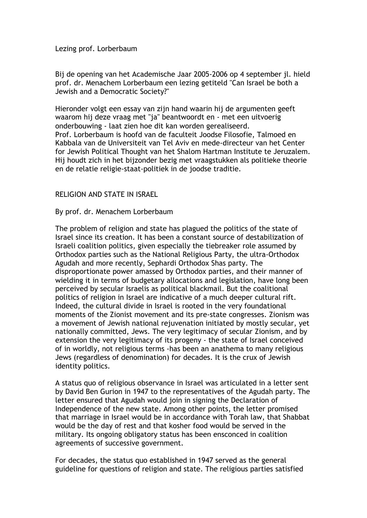Lezing prof. Lorberbaum

Bij de opening van het Academische Jaar 2005-2006 op 4 september jl. hield prof. dr. Menachem Lorberbaum een lezing getiteld "Can Israel be both a Jewish and a Democratic Society?"

Hieronder volgt een essay van zijn hand waarin hij de argumenten geeft waarom hij deze vraag met "ja" beantwoordt en - met een uitvoerig onderbouwing - laat zien hoe dit kan worden gerealiseerd. Prof. Lorberbaum is hoofd van de faculteit Joodse Filosofie, Talmoed en Kabbala van de Universiteit van Tel Aviv en mede-directeur van het Center for Jewish Political Thought van het Shalom Hartman Institute te Jeruzalem. Hij houdt zich in het bijzonder bezig met vraagstukken als politieke theorie en de relatie religie-staat-politiek in de joodse traditie.

# RELIGION AND STATE IN ISRAEL

### By prof. dr. Menachem Lorberbaum

The problem of religion and state has plagued the politics of the state of Israel since its creation. It has been a constant source of destabilization of Israeli coalition politics, given especially the tiebreaker role assumed by Orthodox parties such as the National Religious Party, the ultra-Orthodox Agudah and more recently, Sephardi Orthodox Shas party. The disproportionate power amassed by Orthodox parties, and their manner of wielding it in terms of budgetary allocations and legislation, have long been perceived by secular Israelis as political blackmail. But the coalitional politics of religion in Israel are indicative of a much deeper cultural rift. Indeed, the cultural divide in Israel is rooted in the very foundational moments of the Zionist movement and its pre-state congresses. Zionism was a movement of Jewish national rejuvenation initiated by mostly secular, yet nationally committed, Jews. The very legitimacy of secular Zionism, and by extension the very legitimacy of its progeny - the state of Israel conceived of in worldly, not religious terms -has been an anathema to many religious Jews (regardless of denomination) for decades. It is the crux of Jewish identity politics.

A status quo of religious observance in Israel was articulated in a letter sent by David Ben Gurion in 1947 to the representatives of the Agudah party. The letter ensured that Agudah would join in signing the Declaration of Independence of the new state. Among other points, the letter promised that marriage in Israel would be in accordance with Torah law, that Shabbat would be the day of rest and that kosher food would be served in the military. Its ongoing obligatory status has been ensconced in coalition agreements of successive government.

For decades, the status quo established in 1947 served as the general guideline for questions of religion and state. The religious parties satisfied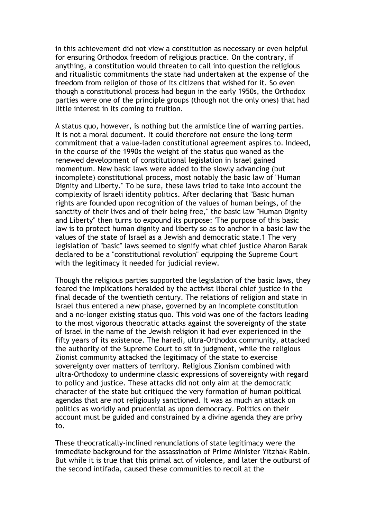in this achievement did not view a constitution as necessary or even helpful for ensuring Orthodox freedom of religious practice. On the contrary, if anything, a constitution would threaten to call into question the religious and ritualistic commitments the state had undertaken at the expense of the freedom from religion of those of its citizens that wished for it. So even though a constitutional process had begun in the early 1950s, the Orthodox parties were one of the principle groups (though not the only ones) that had little interest in its coming to fruition.

A status quo, however, is nothing but the armistice line of warring parties. It is not a moral document. It could therefore not ensure the long-term commitment that a value-laden constitutional agreement aspires to. Indeed, in the course of the 1990s the weight of the status quo waned as the renewed development of constitutional legislation in Israel gained momentum. New basic laws were added to the slowly advancing (but incomplete) constitutional process, most notably the basic law of "Human Dignity and Liberty." To be sure, these laws tried to take into account the complexity of Israeli identity politics. After declaring that "Basic human rights are founded upon recognition of the values of human beings, of the sanctity of their lives and of their being free," the basic law "Human Dignity and Liberty" then turns to expound its purpose: 'The purpose of this basic law is to protect human dignity and liberty so as to anchor in a basic law the values of the state of Israel as a Jewish and democratic state.1 The very legislation of "basic" laws seemed to signify what chief justice Aharon Barak declared to be a "constitutional revolution" equipping the Supreme Court with the legitimacy it needed for judicial review.

Though the religious parties supported the legislation of the basic laws, they feared the implications heralded by the activist liberal chief justice in the final decade of the twentieth century. The relations of religion and state in Israel thus entered a new phase, governed by an incomplete constitution and a no-longer existing status quo. This void was one of the factors leading to the most vigorous theocratic attacks against the sovereignty of the state of Israel in the name of the Jewish religion it had ever experienced in the fifty years of its existence. The haredi, ultra-Orthodox community, attacked the authority of the Supreme Court to sit in judgment, while the religious Zionist community attacked the legitimacy of the state to exercise sovereignty over matters of territory. Religious Zionism combined with ultra-Orthodoxy to undermine classic expressions of sovereignty with regard to policy and justice. These attacks did not only aim at the democratic character of the state but critiqued the very formation of human political agendas that are not religiously sanctioned. It was as much an attack on politics as worldly and prudential as upon democracy. Politics on their account must be guided and constrained by a divine agenda they are privy to.

These theocratically-inclined renunciations of state legitimacy were the immediate background for the assassination of Prime Minister Yitzhak Rabin. But while it is true that this primal act of violence, and later the outburst of the second intifada, caused these communities to recoil at the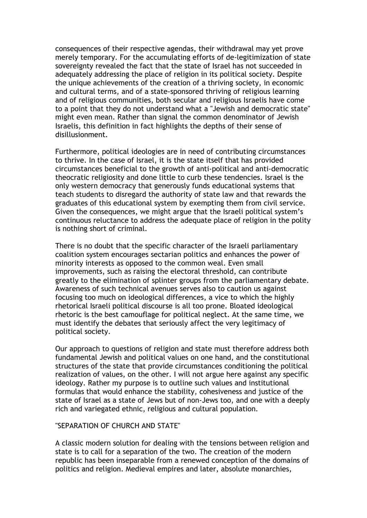consequences of their respective agendas, their withdrawal may yet prove merely temporary. For the accumulating efforts of de-legitimization of state sovereignty revealed the fact that the state of Israel has not succeeded in adequately addressing the place of religion in its political society. Despite the unique achievements of the creation of a thriving society, in economic and cultural terms, and of a state-sponsored thriving of religious learning and of religious communities, both secular and religious Israelis have come to a point that they do not understand what a "Jewish and democratic state" might even mean. Rather than signal the common denominator of Jewish Israelis, this definition in fact highlights the depths of their sense of disillusionment.

Furthermore, political ideologies are in need of contributing circumstances to thrive. In the case of Israel, it is the state itself that has provided circumstances beneficial to the growth of anti-political and anti-democratic theocratic religiosity and done little to curb these tendencies. Israel is the only western democracy that generously funds educational systems that teach students to disregard the authority of state law and that rewards the graduates of this educational system by exempting them from civil service. Given the consequences, we might argue that the Israeli political system's continuous reluctance to address the adequate place of religion in the polity is nothing short of criminal.

There is no doubt that the specific character of the Israeli parliamentary coalition system encourages sectarian politics and enhances the power of minority interests as opposed to the common weal. Even small improvements, such as raising the electoral threshold, can contribute greatly to the elimination of splinter groups from the parliamentary debate. Awareness of such technical avenues serves also to caution us against focusing too much on ideological differences, a vice to which the highly rhetorical Israeli political discourse is all too prone. Bloated ideological rhetoric is the best camouflage for political neglect. At the same time, we must identify the debates that seriously affect the very legitimacy of political society.

Our approach to questions of religion and state must therefore address both fundamental Jewish and political values on one hand, and the constitutional structures of the state that provide circumstances conditioning the political realization of values, on the other. I will not argue here against any specific ideology. Rather my purpose is to outline such values and institutional formulas that would enhance the stability, cohesiveness and justice of the state of Israel as a state of Jews but of non-Jews too, and one with a deeply rich and variegated ethnic, religious and cultural population.

#### "SEPARATION OF CHURCH AND STATE"

A classic modern solution for dealing with the tensions between religion and state is to call for a separation of the two. The creation of the modern republic has been inseparable from a renewed conception of the domains of politics and religion. Medieval empires and later, absolute monarchies,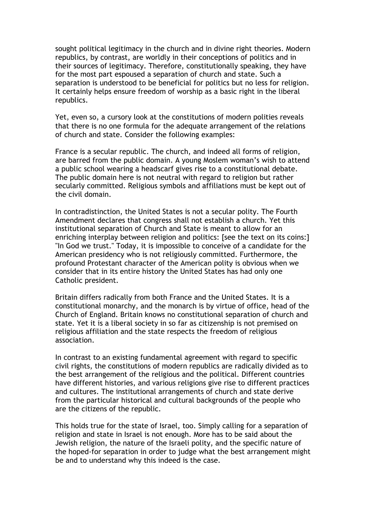sought political legitimacy in the church and in divine right theories. Modern republics, by contrast, are worldly in their conceptions of politics and in their sources of legitimacy. Therefore, constitutionally speaking, they have for the most part espoused a separation of church and state. Such a separation is understood to be beneficial for politics but no less for religion. It certainly helps ensure freedom of worship as a basic right in the liberal republics.

Yet, even so, a cursory look at the constitutions of modern polities reveals that there is no one formula for the adequate arrangement of the relations of church and state. Consider the following examples:

France is a secular republic. The church, and indeed all forms of religion, are barred from the public domain. A young Moslem woman's wish to attend a public school wearing a headscarf gives rise to a constitutional debate. The public domain here is not neutral with regard to religion but rather secularly committed. Religious symbols and affiliations must be kept out of the civil domain.

In contradistinction, the United States is not a secular polity. The Fourth Amendment declares that congress shall not establish a church. Yet this institutional separation of Church and State is meant to allow for an enriching interplay between religion and politics: [see the text on its coins:] "In God we trust." Today, it is impossible to conceive of a candidate for the American presidency who is not religiously committed. Furthermore, the profound Protestant character of the American polity is obvious when we consider that in its entire history the United States has had only one Catholic president.

Britain differs radically from both France and the United States. It is a constitutional monarchy, and the monarch is by virtue of office, head of the Church of England. Britain knows no constitutional separation of church and state. Yet it is a liberal society in so far as citizenship is not premised on religious affiliation and the state respects the freedom of religious association.

In contrast to an existing fundamental agreement with regard to specific civil rights, the constitutions of modern republics are radically divided as to the best arrangement of the religious and the political. Different countries have different histories, and various religions give rise to different practices and cultures. The institutional arrangements of church and state derive from the particular historical and cultural backgrounds of the people who are the citizens of the republic.

This holds true for the state of Israel, too. Simply calling for a separation of religion and state in Israel is not enough. More has to be said about the Jewish religion, the nature of the Israeli polity, and the specific nature of the hoped-for separation in order to judge what the best arrangement might be and to understand why this indeed is the case.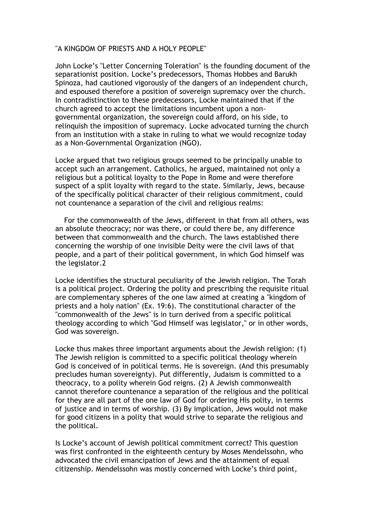## "A KINGDOM OF PRIESTS AND A HOLY PEOPLE"

John Locke's "Letter Concerning Toleration" is the founding document of the separationist position. Locke's predecessors, Thomas Hobbes and Barukh Spinoza, had cautioned vigorously of the dangers of an independent church, and espoused therefore a position of sovereign supremacy over the church. In contradistinction to these predecessors, Locke maintained that if the church agreed to accept the limitations incumbent upon a nongovernmental organization, the sovereign could afford, on his side, to relinquish the imposition of supremacy. Locke advocated turning the church from an institution with a stake in ruling to what we would recognize today as a Non-Governmental Organization (NGO).

Locke argued that two religious groups seemed to be principally unable to accept such an arrangement. Catholics, he argued, maintained not only a religious but a political loyalty to the Pope in Rome and were therefore suspect of a split loyalty with regard to the state. Similarly, Jews, because of the specifically political character of their religious commitment, could not countenance a separation of the civil and religious realms:

 For the commonwealth of the Jews, different in that from all others, was an absolute theocracy; nor was there, or could there be, any difference between that commonwealth and the church. The laws established there concerning the worship of one invisible Deity were the civil laws of that people, and a part of their political government, in which God himself was the legislator.2

Locke identifies the structural peculiarity of the Jewish religion. The Torah is a political project. Ordering the polity and prescribing the requisite ritual are complementary spheres of the one law aimed at creating a "kingdom of priests and a holy nation" (Ex. 19:6). The constitutional character of the "commonwealth of the Jews" is in turn derived from a specific political theology according to which "God Himself was legislator," or in other words, God was sovereign.

Locke thus makes three important arguments about the Jewish religion: (1) The Jewish religion is committed to a specific political theology wherein God is conceived of in political terms. He is sovereign. (And this presumably precludes human sovereignty). Put differently, Judaism is committed to a theocracy, to a polity wherein God reigns. (2) A Jewish commonwealth cannot therefore countenance a separation of the religious and the political for they are all part of the one law of God for ordering His polity, in terms of justice and in terms of worship. (3) By implication, Jews would not make for good citizens in a polity that would strive to separate the religious and the political.

Is Locke's account of Jewish political commitment correct? This question was first confronted in the eighteenth century by Moses Mendelssohn, who advocated the civil emancipation of Jews and the attainment of equal citizenship. Mendelssohn was mostly concerned with Locke's third point,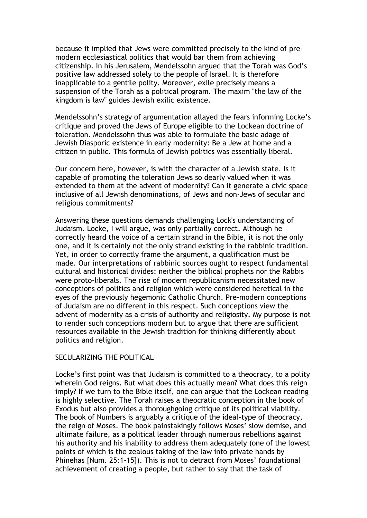because it implied that Jews were committed precisely to the kind of premodern ecclesiastical politics that would bar them from achieving citizenship. In his Jerusalem, Mendelssohn argued that the Torah was God's positive law addressed solely to the people of Israel. It is therefore inapplicable to a gentile polity. Moreover, exile precisely means a suspension of the Torah as a political program. The maxim "the law of the kingdom is law" guides Jewish exilic existence.

Mendelssohn's strategy of argumentation allayed the fears informing Locke's critique and proved the Jews of Europe eligible to the Lockean doctrine of toleration. Mendelssohn thus was able to formulate the basic adage of Jewish Diasporic existence in early modernity: Be a Jew at home and a citizen in public. This formula of Jewish politics was essentially liberal.

Our concern here, however, is with the character of a Jewish state. Is it capable of promoting the toleration Jews so dearly valued when it was extended to them at the advent of modernity? Can it generate a civic space inclusive of all Jewish denominations, of Jews and non-Jews of secular and religious commitments?

Answering these questions demands challenging Lock's understanding of Judaism. Locke, I will argue, was only partially correct. Although he correctly heard the voice of a certain strand in the Bible, it is not the only one, and it is certainly not the only strand existing in the rabbinic tradition. Yet, in order to correctly frame the argument, a qualification must be made. Our interpretations of rabbinic sources ought to respect fundamental cultural and historical divides: neither the biblical prophets nor the Rabbis were proto-liberals. The rise of modern republicanism necessitated new conceptions of politics and religion which were considered heretical in the eyes of the previously hegemonic Catholic Church. Pre-modern conceptions of Judaism are no different in this respect. Such conceptions view the advent of modernity as a crisis of authority and religiosity. My purpose is not to render such conceptions modern but to argue that there are sufficient resources available in the Jewish tradition for thinking differently about politics and religion.

### SECULARIZING THE POLITICAL

Locke's first point was that Judaism is committed to a theocracy, to a polity wherein God reigns. But what does this actually mean? What does this reign imply? If we turn to the Bible itself, one can argue that the Lockean reading is highly selective. The Torah raises a theocratic conception in the book of Exodus but also provides a thoroughgoing critique of its political viability. The book of Numbers is arguably a critique of the ideal-type of theocracy, the reign of Moses. The book painstakingly follows Moses' slow demise, and ultimate failure, as a political leader through numerous rebellions against his authority and his inability to address them adequately (one of the lowest points of which is the zealous taking of the law into private hands by Phinehas [Num. 25:1-15]). This is not to detract from Moses' foundational achievement of creating a people, but rather to say that the task of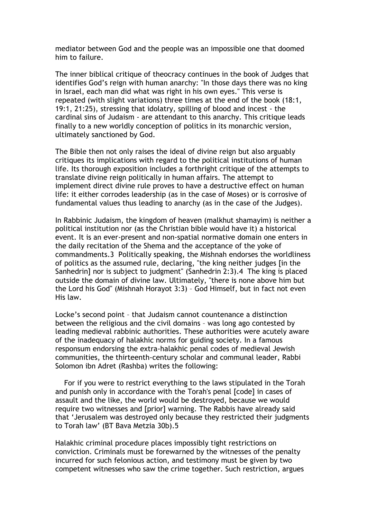mediator between God and the people was an impossible one that doomed him to failure.

The inner biblical critique of theocracy continues in the book of Judges that identifies God's reign with human anarchy: "In those days there was no king in Israel, each man did what was right in his own eyes." This verse is repeated (with slight variations) three times at the end of the book (18:1, 19:1, 21:25), stressing that idolatry, spilling of blood and incest - the cardinal sins of Judaism - are attendant to this anarchy. This critique leads finally to a new worldly conception of politics in its monarchic version, ultimately sanctioned by God.

The Bible then not only raises the ideal of divine reign but also arguably critiques its implications with regard to the political institutions of human life. Its thorough exposition includes a forthright critique of the attempts to translate divine reign politically in human affairs. The attempt to implement direct divine rule proves to have a destructive effect on human life: it either corrodes leadership (as in the case of Moses) or is corrosive of fundamental values thus leading to anarchy (as in the case of the Judges).

In Rabbinic Judaism, the kingdom of heaven (malkhut shamayim) is neither a political institution nor (as the Christian bible would have it) a historical event. It is an ever-present and non-spatial normative domain one enters in the daily recitation of the Shema and the acceptance of the yoke of commandments.3 Politically speaking, the Mishnah endorses the worldliness of politics as the assumed rule, declaring, "the king neither judges [in the Sanhedrin] nor is subject to judgment" (Sanhedrin 2:3).4 The king is placed outside the domain of divine law. Ultimately, "there is none above him but the Lord his God" (Mishnah Horayot 3:3) – God Himself, but in fact not even His law.

Locke's second point – that Judaism cannot countenance a distinction between the religious and the civil domains – was long ago contested by leading medieval rabbinic authorities. These authorities were acutely aware of the inadequacy of halakhic norms for guiding society. In a famous responsum endorsing the extra-halakhic penal codes of medieval Jewish communities, the thirteenth-century scholar and communal leader, Rabbi Solomon ibn Adret (Rashba) writes the following:

 For if you were to restrict everything to the laws stipulated in the Torah and punish only in accordance with the Torah's penal [code] in cases of assault and the like, the world would be destroyed, because we would require two witnesses and [prior] warning. The Rabbis have already said that 'Jerusalem was destroyed only because they restricted their judgments to Torah law' (BT Bava Metzia 30b).5

Halakhic criminal procedure places impossibly tight restrictions on conviction. Criminals must be forewarned by the witnesses of the penalty incurred for such felonious action, and testimony must be given by two competent witnesses who saw the crime together. Such restriction, argues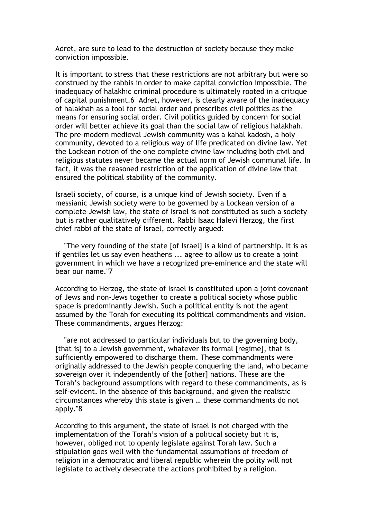Adret, are sure to lead to the destruction of society because they make conviction impossible.

It is important to stress that these restrictions are not arbitrary but were so construed by the rabbis in order to make capital conviction impossible. The inadequacy of halakhic criminal procedure is ultimately rooted in a critique of capital punishment.6 Adret, however, is clearly aware of the inadequacy of halakhah as a tool for social order and prescribes civil politics as the means for ensuring social order. Civil politics guided by concern for social order will better achieve its goal than the social law of religious halakhah. The pre-modern medieval Jewish community was a kahal kadosh, a holy community, devoted to a religious way of life predicated on divine law. Yet the Lockean notion of the one complete divine law including both civil and religious statutes never became the actual norm of Jewish communal life. In fact, it was the reasoned restriction of the application of divine law that ensured the political stability of the community.

Israeli society, of course, is a unique kind of Jewish society. Even if a messianic Jewish society were to be governed by a Lockean version of a complete Jewish law, the state of Israel is not constituted as such a society but is rather qualitatively different. Rabbi Isaac Halevi Herzog, the first chief rabbi of the state of Israel, correctly argued:

 "The very founding of the state [of Israel] is a kind of partnership. It is as if gentiles let us say even heathens ... agree to allow us to create a joint government in which we have a recognized pre-eminence and the state will bear our name."7

According to Herzog, the state of Israel is constituted upon a joint covenant of Jews and non-Jews together to create a political society whose public space is predominantly Jewish. Such a political entity is not the agent assumed by the Torah for executing its political commandments and vision. These commandments, argues Herzog:

 "are not addressed to particular individuals but to the governing body, [that is] to a Jewish government, whatever its formal [regime], that is sufficiently empowered to discharge them. These commandments were originally addressed to the Jewish people conquering the land, who became sovereign over it independently of the [other] nations. These are the Torah's background assumptions with regard to these commandments, as is self-evident. In the absence of this background, and given the realistic circumstances whereby this state is given … these commandments do not apply."8

According to this argument, the state of Israel is not charged with the implementation of the Torah's vision of a political society but it is, however, obliged not to openly legislate against Torah law. Such a stipulation goes well with the fundamental assumptions of freedom of religion in a democratic and liberal republic wherein the polity will not legislate to actively desecrate the actions prohibited by a religion.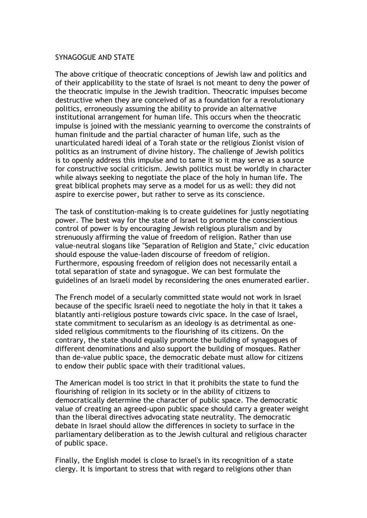# SYNAGOGUE AND STATE

The above critique of theocratic conceptions of Jewish law and politics and of their applicability to the state of Israel is not meant to deny the power of the theocratic impulse in the Jewish tradition. Theocratic impulses become destructive when they are conceived of as a foundation for a revolutionary politics, erroneously assuming the ability to provide an alternative institutional arrangement for human life. This occurs when the theocratic impulse is joined with the messianic yearning to overcome the constraints of human finitude and the partial character of human life, such as the unarticulated haredi ideal of a Torah state or the religious Zionist vision of politics as an instrument of divine history. The challenge of Jewish politics is to openly address this impulse and to tame it so it may serve as a source for constructive social criticism. Jewish politics must be worldly in character while always seeking to negotiate the place of the holy in human life. The great biblical prophets may serve as a model for us as well: they did not aspire to exercise power, but rather to serve as its conscience.

The task of constitution-making is to create guidelines for justly negotiating power. The best way for the state of Israel to promote the conscientious control of power is by encouraging Jewish religious pluralism and by strenuously affirming the value of freedom of religion. Rather than use value-neutral slogans like "Separation of Religion and State," civic education should espouse the value-laden discourse of freedom of religion. Furthermore, espousing freedom of religion does not necessarily entail a total separation of state and synagogue. We can best formulate the guidelines of an Israeli model by reconsidering the ones enumerated earlier.

The French model of a secularly committed state would not work in Israel because of the specific Israeli need to negotiate the holy in that it takes a blatantly anti-religious posture towards civic space. In the case of Israel, state commitment to secularism as an ideology is as detrimental as onesided religious commitments to the flourishing of its citizens. On the contrary, the state should equally promote the building of synagogues of different denominations and also support the building of mosques. Rather than de-value public space, the democratic debate must allow for citizens to endow their public space with their traditional values.

The American model is too strict in that it prohibits the state to fund the flourishing of religion in its society or in the ability of citizens to democratically determine the character of public space. The democratic value of creating an agreed-upon public space should carry a greater weight than the liberal directives advocating state neutrality. The democratic debate in Israel should allow the differences in society to surface in the parliamentary deliberation as to the Jewish cultural and religious character of public space.

Finally, the English model is close to Israel's in its recognition of a state clergy. It is important to stress that with regard to religions other than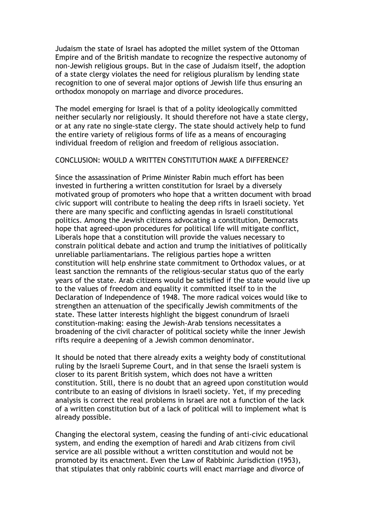Judaism the state of Israel has adopted the millet system of the Ottoman Empire and of the British mandate to recognize the respective autonomy of non-Jewish religious groups. But in the case of Judaism itself, the adoption of a state clergy violates the need for religious pluralism by lending state recognition to one of several major options of Jewish life thus ensuring an orthodox monopoly on marriage and divorce procedures.

The model emerging for Israel is that of a polity ideologically committed neither secularly nor religiously. It should therefore not have a state clergy, or at any rate no single-state clergy. The state should actively help to fund the entire variety of religious forms of life as a means of encouraging individual freedom of religion and freedom of religious association.

#### CONCLUSION: WOULD A WRITTEN CONSTITUTION MAKE A DIFFERENCE?

Since the assassination of Prime Minister Rabin much effort has been invested in furthering a written constitution for Israel by a diversely motivated group of promoters who hope that a written document with broad civic support will contribute to healing the deep rifts in Israeli society. Yet there are many specific and conflicting agendas in Israeli constitutional politics. Among the Jewish citizens advocating a constitution, Democrats hope that agreed-upon procedures for political life will mitigate conflict, Liberals hope that a constitution will provide the values necessary to constrain political debate and action and trump the initiatives of politically unreliable parliamentarians. The religious parties hope a written constitution will help enshrine state commitment to Orthodox values, or at least sanction the remnants of the religious-secular status quo of the early years of the state. Arab citizens would be satisfied if the state would live up to the values of freedom and equality it committed itself to in the Declaration of Independence of 1948. The more radical voices would like to strengthen an attenuation of the specifically Jewish commitments of the state. These latter interests highlight the biggest conundrum of Israeli constitution-making: easing the Jewish-Arab tensions necessitates a broadening of the civil character of political society while the inner Jewish rifts require a deepening of a Jewish common denominator.

It should be noted that there already exits a weighty body of constitutional ruling by the Israeli Supreme Court, and in that sense the Israeli system is closer to its parent British system, which does not have a written constitution. Still, there is no doubt that an agreed upon constitution would contribute to an easing of divisions in Israeli society. Yet, if my preceding analysis is correct the real problems in Israel are not a function of the lack of a written constitution but of a lack of political will to implement what is already possible.

Changing the electoral system, ceasing the funding of anti-civic educational system, and ending the exemption of haredi and Arab citizens from civil service are all possible without a written constitution and would not be promoted by its enactment. Even the Law of Rabbinic Jurisdiction (1953), that stipulates that only rabbinic courts will enact marriage and divorce of